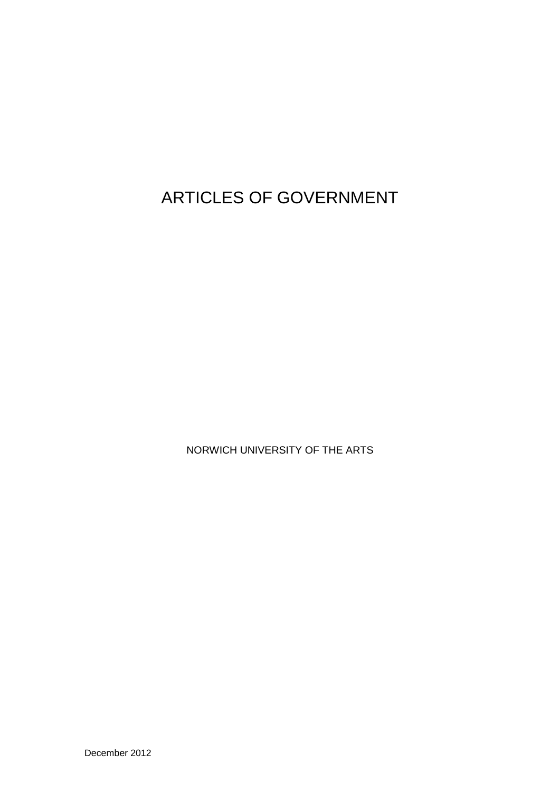ARTICLES OF GOVERNMENT

NORWICH UNIVERSITY OF THE ARTS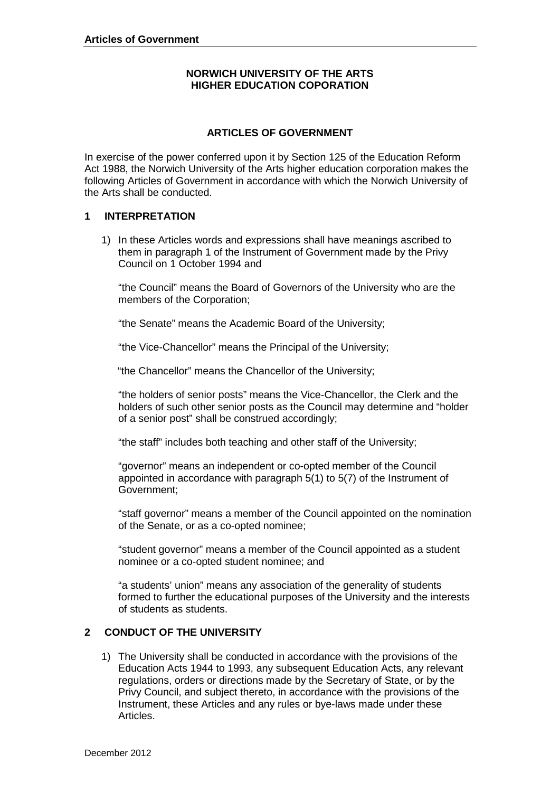# **NORWICH UNIVERSITY OF THE ARTS HIGHER EDUCATION COPORATION**

# **ARTICLES OF GOVERNMENT**

In exercise of the power conferred upon it by Section 125 of the Education Reform Act 1988, the Norwich University of the Arts higher education corporation makes the following Articles of Government in accordance with which the Norwich University of the Arts shall be conducted.

#### **1 INTERPRETATION**

1) In these Articles words and expressions shall have meanings ascribed to them in paragraph 1 of the Instrument of Government made by the Privy Council on 1 October 1994 and

"the Council" means the Board of Governors of the University who are the members of the Corporation;

"the Senate" means the Academic Board of the University;

"the Vice-Chancellor" means the Principal of the University;

"the Chancellor" means the Chancellor of the University;

"the holders of senior posts" means the Vice-Chancellor, the Clerk and the holders of such other senior posts as the Council may determine and "holder of a senior post" shall be construed accordingly;

"the staff" includes both teaching and other staff of the University;

"governor" means an independent or co-opted member of the Council appointed in accordance with paragraph 5(1) to 5(7) of the Instrument of Government;

"staff governor" means a member of the Council appointed on the nomination of the Senate, or as a co-opted nominee;

"student governor" means a member of the Council appointed as a student nominee or a co-opted student nominee; and

"a students' union" means any association of the generality of students formed to further the educational purposes of the University and the interests of students as students.

# **2 CONDUCT OF THE UNIVERSITY**

1) The University shall be conducted in accordance with the provisions of the Education Acts 1944 to 1993, any subsequent Education Acts, any relevant regulations, orders or directions made by the Secretary of State, or by the Privy Council, and subject thereto, in accordance with the provisions of the Instrument, these Articles and any rules or bye-laws made under these Articles.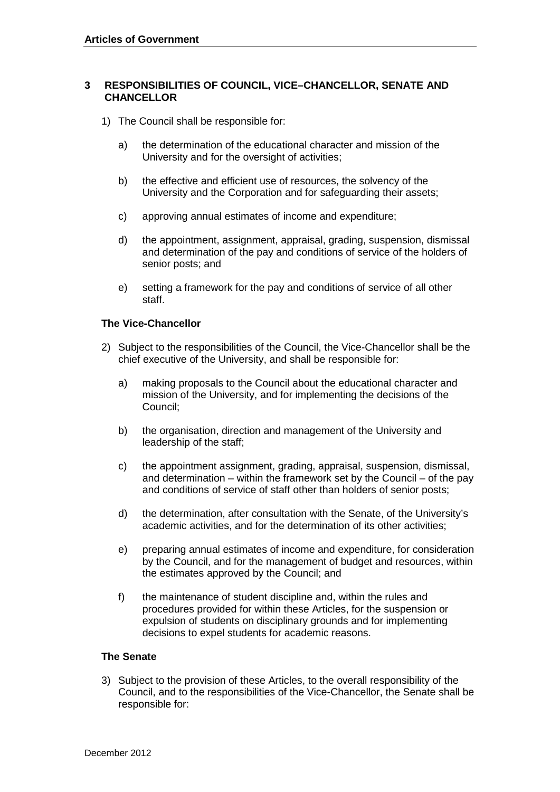#### **3 RESPONSIBILITIES OF COUNCIL, VICE–CHANCELLOR, SENATE AND CHANCELLOR**

- 1) The Council shall be responsible for:
	- a) the determination of the educational character and mission of the University and for the oversight of activities;
	- b) the effective and efficient use of resources, the solvency of the University and the Corporation and for safeguarding their assets;
	- c) approving annual estimates of income and expenditure;
	- d) the appointment, assignment, appraisal, grading, suspension, dismissal and determination of the pay and conditions of service of the holders of senior posts; and
	- e) setting a framework for the pay and conditions of service of all other staff.

#### **The Vice-Chancellor**

- 2) Subject to the responsibilities of the Council, the Vice-Chancellor shall be the chief executive of the University, and shall be responsible for:
	- a) making proposals to the Council about the educational character and mission of the University, and for implementing the decisions of the Council;
	- b) the organisation, direction and management of the University and leadership of the staff;
	- c) the appointment assignment, grading, appraisal, suspension, dismissal, and determination – within the framework set by the Council – of the pay and conditions of service of staff other than holders of senior posts;
	- d) the determination, after consultation with the Senate, of the University's academic activities, and for the determination of its other activities;
	- e) preparing annual estimates of income and expenditure, for consideration by the Council, and for the management of budget and resources, within the estimates approved by the Council; and
	- f) the maintenance of student discipline and, within the rules and procedures provided for within these Articles, for the suspension or expulsion of students on disciplinary grounds and for implementing decisions to expel students for academic reasons.

#### **The Senate**

3) Subject to the provision of these Articles, to the overall responsibility of the Council, and to the responsibilities of the Vice-Chancellor, the Senate shall be responsible for: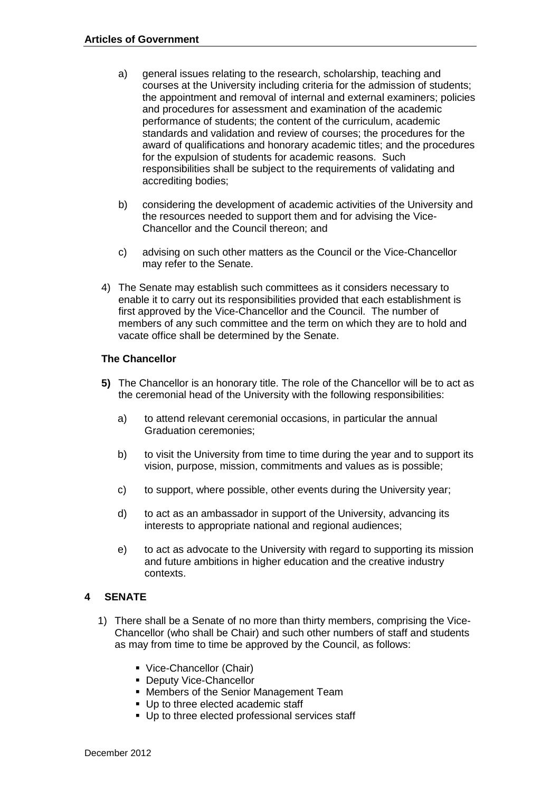- a) general issues relating to the research, scholarship, teaching and courses at the University including criteria for the admission of students; the appointment and removal of internal and external examiners; policies and procedures for assessment and examination of the academic performance of students; the content of the curriculum, academic standards and validation and review of courses; the procedures for the award of qualifications and honorary academic titles; and the procedures for the expulsion of students for academic reasons. Such responsibilities shall be subject to the requirements of validating and accrediting bodies;
- b) considering the development of academic activities of the University and the resources needed to support them and for advising the Vice-Chancellor and the Council thereon; and
- c) advising on such other matters as the Council or the Vice-Chancellor may refer to the Senate.
- 4) The Senate may establish such committees as it considers necessary to enable it to carry out its responsibilities provided that each establishment is first approved by the Vice-Chancellor and the Council. The number of members of any such committee and the term on which they are to hold and vacate office shall be determined by the Senate.

# **The Chancellor**

- **5)** The Chancellor is an honorary title. The role of the Chancellor will be to act as the ceremonial head of the University with the following responsibilities:
	- a) to attend relevant ceremonial occasions, in particular the annual Graduation ceremonies;
	- b) to visit the University from time to time during the year and to support its vision, purpose, mission, commitments and values as is possible;
	- c) to support, where possible, other events during the University year;
	- d) to act as an ambassador in support of the University, advancing its interests to appropriate national and regional audiences;
	- e) to act as advocate to the University with regard to supporting its mission and future ambitions in higher education and the creative industry contexts.

#### **SENATE 4**

- 1) There shall be a Senate of no more than thirty members, comprising the Vice-Chancellor (who shall be Chair) and such other numbers of staff and students as may from time to time be approved by the Council, as follows:
	- Vice-Chancellor (Chair)
	- **Deputy Vice-Chancellor**
	- Members of the Senior Management Team
	- Up to three elected academic staff
	- **Up to three elected professional services staff**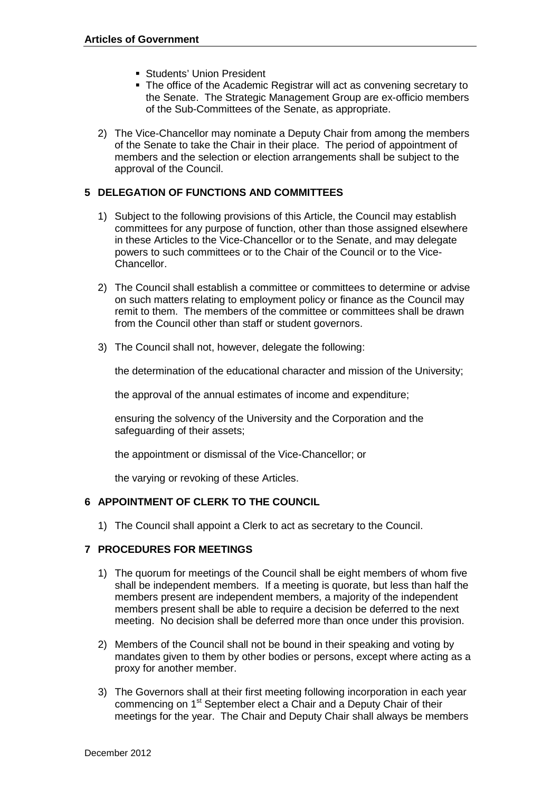- **Students' Union President**
- The office of the Academic Registrar will act as convening secretary to the Senate. The Strategic Management Group are ex-officio members of the Sub-Committees of the Senate, as appropriate.
- 2) The Vice-Chancellor may nominate a Deputy Chair from among the members of the Senate to take the Chair in their place. The period of appointment of members and the selection or election arrangements shall be subject to the approval of the Council.

# **5 DELEGATION OF FUNCTIONS AND COMMITTEES**

- 1) Subject to the following provisions of this Article, the Council may establish committees for any purpose of function, other than those assigned elsewhere in these Articles to the Vice-Chancellor or to the Senate, and may delegate powers to such committees or to the Chair of the Council or to the Vice-Chancellor.
- 2) The Council shall establish a committee or committees to determine or advise on such matters relating to employment policy or finance as the Council may remit to them. The members of the committee or committees shall be drawn from the Council other than staff or student governors.
- 3) The Council shall not, however, delegate the following:

the determination of the educational character and mission of the University;

the approval of the annual estimates of income and expenditure;

ensuring the solvency of the University and the Corporation and the safeguarding of their assets;

the appointment or dismissal of the Vice-Chancellor; or

the varying or revoking of these Articles.

# **6 APPOINTMENT OF CLERK TO THE COUNCIL**

1) The Council shall appoint a Clerk to act as secretary to the Council.

# **7 PROCEDURES FOR MEETINGS**

- 1) The quorum for meetings of the Council shall be eight members of whom five shall be independent members. If a meeting is quorate, but less than half the members present are independent members, a majority of the independent members present shall be able to require a decision be deferred to the next meeting. No decision shall be deferred more than once under this provision.
- 2) Members of the Council shall not be bound in their speaking and voting by mandates given to them by other bodies or persons, except where acting as a proxy for another member.
- 3) The Governors shall at their first meeting following incorporation in each year commencing on 1<sup>st</sup> September elect a Chair and a Deputy Chair of their meetings for the year. The Chair and Deputy Chair shall always be members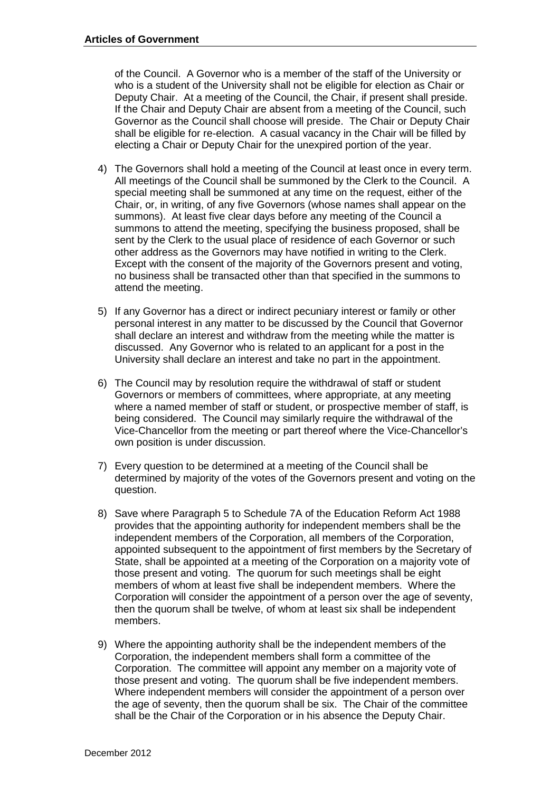of the Council. A Governor who is a member of the staff of the University or who is a student of the University shall not be eligible for election as Chair or Deputy Chair. At a meeting of the Council, the Chair, if present shall preside. If the Chair and Deputy Chair are absent from a meeting of the Council, such Governor as the Council shall choose will preside. The Chair or Deputy Chair shall be eligible for re-election. A casual vacancy in the Chair will be filled by electing a Chair or Deputy Chair for the unexpired portion of the year.

- 4) The Governors shall hold a meeting of the Council at least once in every term. All meetings of the Council shall be summoned by the Clerk to the Council. A special meeting shall be summoned at any time on the request, either of the Chair, or, in writing, of any five Governors (whose names shall appear on the summons). At least five clear days before any meeting of the Council a summons to attend the meeting, specifying the business proposed, shall be sent by the Clerk to the usual place of residence of each Governor or such other address as the Governors may have notified in writing to the Clerk. Except with the consent of the majority of the Governors present and voting, no business shall be transacted other than that specified in the summons to attend the meeting.
- 5) If any Governor has a direct or indirect pecuniary interest or family or other personal interest in any matter to be discussed by the Council that Governor shall declare an interest and withdraw from the meeting while the matter is discussed. Any Governor who is related to an applicant for a post in the University shall declare an interest and take no part in the appointment.
- 6) The Council may by resolution require the withdrawal of staff or student Governors or members of committees, where appropriate, at any meeting where a named member of staff or student, or prospective member of staff, is being considered. The Council may similarly require the withdrawal of the Vice-Chancellor from the meeting or part thereof where the Vice-Chancellor's own position is under discussion.
- 7) Every question to be determined at a meeting of the Council shall be determined by majority of the votes of the Governors present and voting on the question.
- 8) Save where Paragraph 5 to Schedule 7A of the Education Reform Act 1988 provides that the appointing authority for independent members shall be the independent members of the Corporation, all members of the Corporation, appointed subsequent to the appointment of first members by the Secretary of State, shall be appointed at a meeting of the Corporation on a majority vote of those present and voting. The quorum for such meetings shall be eight members of whom at least five shall be independent members. Where the Corporation will consider the appointment of a person over the age of seventy, then the quorum shall be twelve, of whom at least six shall be independent members.
- 9) Where the appointing authority shall be the independent members of the Corporation, the independent members shall form a committee of the Corporation. The committee will appoint any member on a majority vote of those present and voting. The quorum shall be five independent members. Where independent members will consider the appointment of a person over the age of seventy, then the quorum shall be six. The Chair of the committee shall be the Chair of the Corporation or in his absence the Deputy Chair.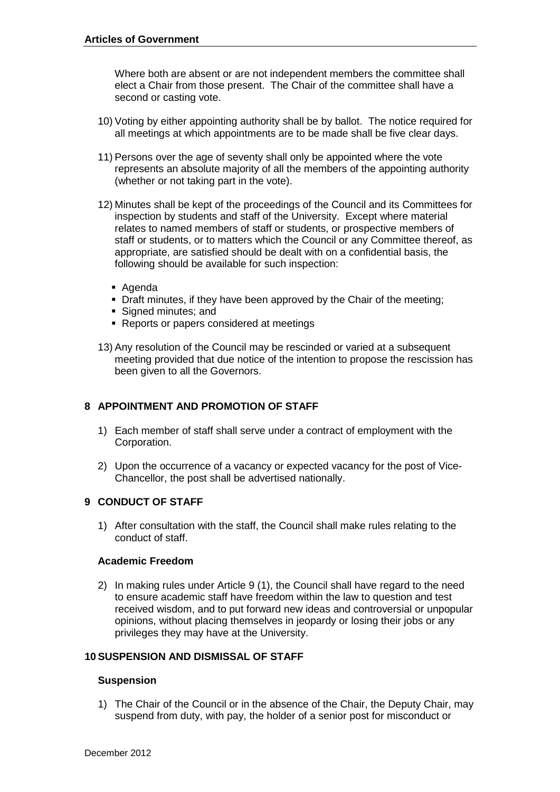Where both are absent or are not independent members the committee shall elect a Chair from those present. The Chair of the committee shall have a second or casting vote.

- 10) Voting by either appointing authority shall be by ballot. The notice required for all meetings at which appointments are to be made shall be five clear days.
- 11) Persons over the age of seventy shall only be appointed where the vote represents an absolute majority of all the members of the appointing authority (whether or not taking part in the vote).
- 12) Minutes shall be kept of the proceedings of the Council and its Committees for inspection by students and staff of the University. Except where material relates to named members of staff or students, or prospective members of staff or students, or to matters which the Council or any Committee thereof, as appropriate, are satisfied should be dealt with on a confidential basis, the following should be available for such inspection:
	- Agenda
	- Draft minutes, if they have been approved by the Chair of the meeting;
	- Signed minutes; and
	- **Reports or papers considered at meetings**
- 13) Any resolution of the Council may be rescinded or varied at a subsequent meeting provided that due notice of the intention to propose the rescission has been given to all the Governors.

# **8 APPOINTMENT AND PROMOTION OF STAFF**

- 1) Each member of staff shall serve under a contract of employment with the Corporation.
- 2) Upon the occurrence of a vacancy or expected vacancy for the post of Vice-Chancellor, the post shall be advertised nationally.

# **9 CONDUCT OF STAFF**

1) After consultation with the staff, the Council shall make rules relating to the conduct of staff.

# **Academic Freedom**

2) In making rules under Article 9 (1), the Council shall have regard to the need to ensure academic staff have freedom within the law to question and test received wisdom, and to put forward new ideas and controversial or unpopular opinions, without placing themselves in jeopardy or losing their jobs or any privileges they may have at the University.

# **10 SUSPENSION AND DISMISSAL OF STAFF**

#### **Suspension**

1) The Chair of the Council or in the absence of the Chair, the Deputy Chair, may suspend from duty, with pay, the holder of a senior post for misconduct or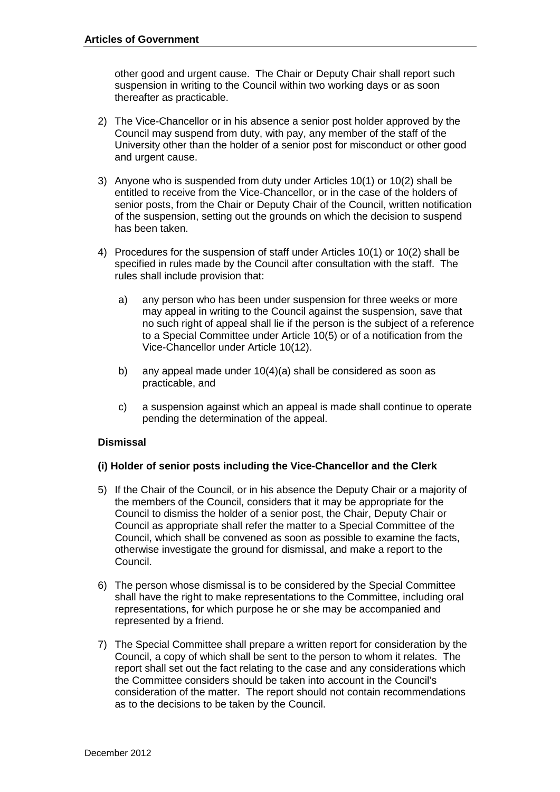other good and urgent cause. The Chair or Deputy Chair shall report such suspension in writing to the Council within two working days or as soon thereafter as practicable.

- 2) The Vice-Chancellor or in his absence a senior post holder approved by the Council may suspend from duty, with pay, any member of the staff of the University other than the holder of a senior post for misconduct or other good and urgent cause.
- 3) Anyone who is suspended from duty under Articles 10(1) or 10(2) shall be entitled to receive from the Vice-Chancellor, or in the case of the holders of senior posts, from the Chair or Deputy Chair of the Council, written notification of the suspension, setting out the grounds on which the decision to suspend has been taken.
- 4) Procedures for the suspension of staff under Articles 10(1) or 10(2) shall be specified in rules made by the Council after consultation with the staff. The rules shall include provision that:
	- a) any person who has been under suspension for three weeks or more may appeal in writing to the Council against the suspension, save that no such right of appeal shall lie if the person is the subject of a reference to a Special Committee under Article 10(5) or of a notification from the Vice-Chancellor under Article 10(12).
	- b) any appeal made under 10(4)(a) shall be considered as soon as practicable, and
	- c) a suspension against which an appeal is made shall continue to operate pending the determination of the appeal.

# **Dismissal**

# **(i) Holder of senior posts including the Vice-Chancellor and the Clerk**

- 5) If the Chair of the Council, or in his absence the Deputy Chair or a majority of the members of the Council, considers that it may be appropriate for the Council to dismiss the holder of a senior post, the Chair, Deputy Chair or Council as appropriate shall refer the matter to a Special Committee of the Council, which shall be convened as soon as possible to examine the facts, otherwise investigate the ground for dismissal, and make a report to the Council.
- 6) The person whose dismissal is to be considered by the Special Committee shall have the right to make representations to the Committee, including oral representations, for which purpose he or she may be accompanied and represented by a friend.
- 7) The Special Committee shall prepare a written report for consideration by the Council, a copy of which shall be sent to the person to whom it relates. The report shall set out the fact relating to the case and any considerations which the Committee considers should be taken into account in the Council's consideration of the matter. The report should not contain recommendations as to the decisions to be taken by the Council.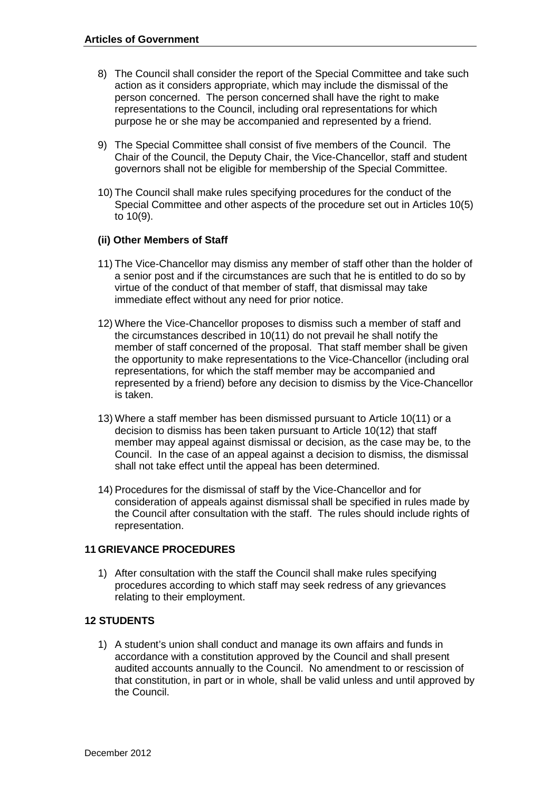- 8) The Council shall consider the report of the Special Committee and take such action as it considers appropriate, which may include the dismissal of the person concerned. The person concerned shall have the right to make representations to the Council, including oral representations for which purpose he or she may be accompanied and represented by a friend.
- 9) The Special Committee shall consist of five members of the Council. The Chair of the Council, the Deputy Chair, the Vice-Chancellor, staff and student governors shall not be eligible for membership of the Special Committee.
- 10) The Council shall make rules specifying procedures for the conduct of the Special Committee and other aspects of the procedure set out in Articles 10(5) to 10(9).

# **(ii) Other Members of Staff**

- 11) The Vice-Chancellor may dismiss any member of staff other than the holder of a senior post and if the circumstances are such that he is entitled to do so by virtue of the conduct of that member of staff, that dismissal may take immediate effect without any need for prior notice.
- 12) Where the Vice-Chancellor proposes to dismiss such a member of staff and the circumstances described in 10(11) do not prevail he shall notify the member of staff concerned of the proposal. That staff member shall be given the opportunity to make representations to the Vice-Chancellor (including oral representations, for which the staff member may be accompanied and represented by a friend) before any decision to dismiss by the Vice-Chancellor is taken.
- 13) Where a staff member has been dismissed pursuant to Article 10(11) or a decision to dismiss has been taken pursuant to Article 10(12) that staff member may appeal against dismissal or decision, as the case may be, to the Council. In the case of an appeal against a decision to dismiss, the dismissal shall not take effect until the appeal has been determined.
- 14) Procedures for the dismissal of staff by the Vice-Chancellor and for consideration of appeals against dismissal shall be specified in rules made by the Council after consultation with the staff. The rules should include rights of representation.

# **11 GRIEVANCE PROCEDURES**

1) After consultation with the staff the Council shall make rules specifying procedures according to which staff may seek redress of any grievances relating to their employment.

# **12 STUDENTS**

1) A student's union shall conduct and manage its own affairs and funds in accordance with a constitution approved by the Council and shall present audited accounts annually to the Council. No amendment to or rescission of that constitution, in part or in whole, shall be valid unless and until approved by the Council.